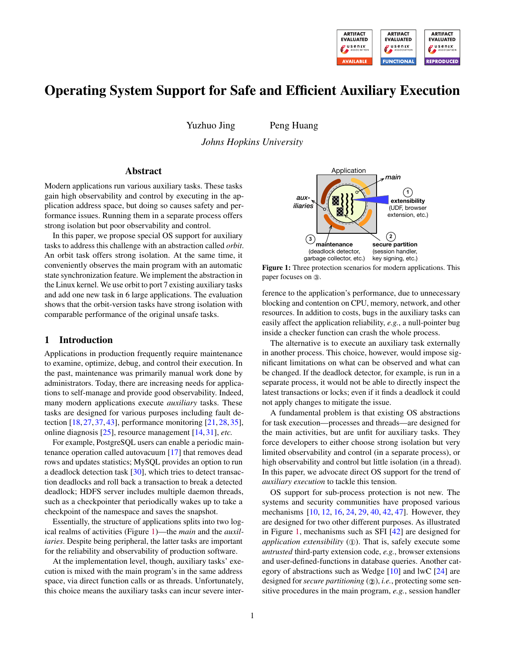

# Operating System Support for Safe and Efficient Auxiliary Execution

Yuzhuo Jing Peng Huang

*Johns Hopkins University*

### Abstract

Modern applications run various auxiliary tasks. These tasks gain high observability and control by executing in the application address space, but doing so causes safety and performance issues. Running them in a separate process offers strong isolation but poor observability and control.

In this paper, we propose special OS support for auxiliary tasks to address this challenge with an abstraction called *orbit*. An orbit task offers strong isolation. At the same time, it conveniently observes the main program with an automatic state synchronization feature. We implement the abstraction in the Linux kernel. We use orbit to port 7 existing auxiliary tasks and add one new task in 6 large applications. The evaluation shows that the orbit-version tasks have strong isolation with comparable performance of the original unsafe tasks.

# 1 Introduction

Applications in production frequently require maintenance to examine, optimize, debug, and control their execution. In the past, maintenance was primarily manual work done by administrators. Today, there are increasing needs for applications to self-manage and provide good observability. Indeed, many modern applications execute *auxiliary* tasks. These tasks are designed for various purposes including fault detection [\[18,](#page-14-0) [27,](#page-15-0) [37,](#page-15-1) [43\]](#page-15-2), performance monitoring [\[21,](#page-14-1) [28,](#page-15-3) [35\]](#page-15-4), online diagnosis [\[25\]](#page-14-2), resource management [\[14,](#page-14-3) [31\]](#page-15-5), *etc.*

For example, PostgreSQL users can enable a periodic maintenance operation called autovacuum [\[17\]](#page-14-4) that removes dead rows and updates statistics; MySQL provides an option to run a deadlock detection task [\[30\]](#page-15-6), which tries to detect transaction deadlocks and roll back a transaction to break a detected deadlock; HDFS server includes multiple daemon threads, such as a checkpointer that periodically wakes up to take a checkpoint of the namespace and saves the snapshot.

Essentially, the structure of applications splits into two logical realms of activities (Figure [1\)](#page-0-0)—the *main* and the *auxiliaries*. Despite being peripheral, the latter tasks are important for the reliability and observability of production software.

At the implementation level, though, auxiliary tasks' execution is mixed with the main program's in the same address space, via direct function calls or as threads. Unfortunately, this choice means the auxiliary tasks can incur severe inter-

<span id="page-0-0"></span>

Figure 1: Three protection scenarios for modern applications. This paper focuses on ③.

ference to the application's performance, due to unnecessary blocking and contention on CPU, memory, network, and other resources. In addition to costs, bugs in the auxiliary tasks can easily affect the application reliability, *e.g.*, a null-pointer bug inside a checker function can crash the whole process.

The alternative is to execute an auxiliary task externally in another process. This choice, however, would impose significant limitations on what can be observed and what can be changed. If the deadlock detector, for example, is run in a separate process, it would not be able to directly inspect the latest transactions or locks; even if it finds a deadlock it could not apply changes to mitigate the issue.

A fundamental problem is that existing OS abstractions for task execution—processes and threads—are designed for the main activities, but are unfit for auxiliary tasks. They force developers to either choose strong isolation but very limited observability and control (in a separate process), or high observability and control but little isolation (in a thread). In this paper, we advocate direct OS support for the trend of *auxiliary execution* to tackle this tension.

OS support for sub-process protection is not new. The systems and security communities have proposed various mechanisms [\[10,](#page-14-5) [12,](#page-14-6) [16,](#page-14-7) [24,](#page-14-8) [29,](#page-15-7) [40,](#page-15-8) [42,](#page-15-9) [47\]](#page-15-10). However, they are designed for two other different purposes. As illustrated in Figure [1,](#page-0-0) mechanisms such as SFI [\[42\]](#page-15-9) are designed for *application extensibility*  $(1)$ . That is, safely execute some *untrusted* third-party extension code, *e.g.*, browser extensions and user-defined-functions in database queries. Another category of abstractions such as Wedge [\[10\]](#page-14-5) and lwC [\[24\]](#page-14-8) are designed for *secure partitioning* (②), *i.e.*, protecting some sensitive procedures in the main program, *e.g.*, session handler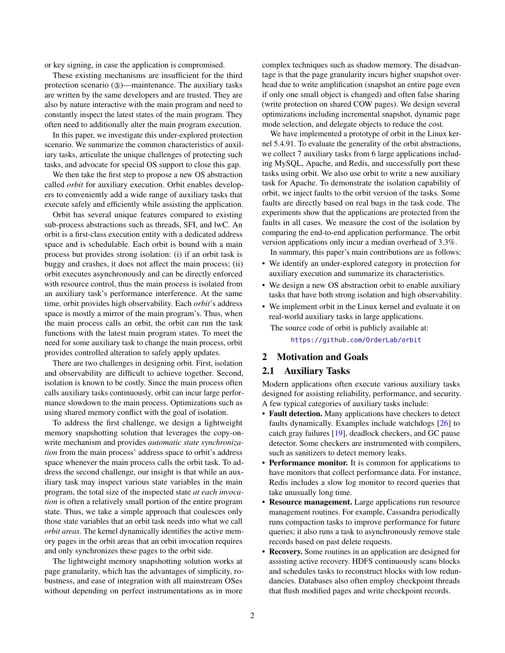or key signing, in case the application is compromised.

These existing mechanisms are insufficient for the third protection scenario (③)—maintenance. The auxiliary tasks are written by the same developers and are trusted. They are also by nature interactive with the main program and need to constantly inspect the latest states of the main program. They often need to additionally alter the main program execution.

In this paper, we investigate this under-explored protection scenario. We summarize the common characteristics of auxiliary tasks, articulate the unique challenges of protecting such tasks, and advocate for special OS support to close this gap.

We then take the first step to propose a new OS abstraction called *orbit* for auxiliary execution. Orbit enables developers to conveniently add a wide range of auxiliary tasks that execute safely and efficiently while assisting the application.

Orbit has several unique features compared to existing sub-process abstractions such as threads, SFI, and lwC. An orbit is a first-class execution entity with a dedicated address space and is schedulable. Each orbit is bound with a main process but provides strong isolation: (i) if an orbit task is buggy and crashes, it does not affect the main process; (ii) orbit executes asynchronously and can be directly enforced with resource control, thus the main process is isolated from an auxiliary task's performance interference. At the same time, orbit provides high observability. Each *orbit*'s address space is mostly a mirror of the main program's. Thus, when the main process calls an orbit, the orbit can run the task functions with the latest main program states. To meet the need for some auxiliary task to change the main process, orbit provides controlled alteration to safely apply updates.

There are two challenges in designing orbit. First, isolation and observability are difficult to achieve together. Second, isolation is known to be costly. Since the main process often calls auxiliary tasks continuously, orbit can incur large performance slowdown to the main process. Optimizations such as using shared memory conflict with the goal of isolation.

To address the first challenge, we design a lightweight memory snapshotting solution that leverages the copy-onwrite mechanism and provides *automatic state synchronization* from the main process' address space to orbit's address space whenever the main process calls the orbit task. To address the second challenge, our insight is that while an auxiliary task may inspect various state variables in the main program, the total size of the inspected state *at each invocation* is often a relatively small portion of the entire program state. Thus, we take a simple approach that coalesces only those state variables that an orbit task needs into what we call *orbit areas*. The kernel dynamically identifies the active memory pages in the orbit areas that an orbit invocation requires and only synchronizes these pages to the orbit side.

The lightweight memory snapshotting solution works at page granularity, which has the advantages of simplicity, robustness, and ease of integration with all mainstream OSes without depending on perfect instrumentations as in more

complex techniques such as shadow memory. The disadvantage is that the page granularity incurs higher snapshot overhead due to write amplification (snapshot an entire page even if only one small object is changed) and often false sharing (write protection on shared COW pages). We design several optimizations including incremental snapshot, dynamic page mode selection, and delegate objects to reduce the cost.

We have implemented a prototype of orbit in the Linux kernel 5.4.91. To evaluate the generality of the orbit abstractions, we collect 7 auxiliary tasks from 6 large applications including MySQL, Apache, and Redis, and successfully port these tasks using orbit. We also use orbit to write a new auxiliary task for Apache. To demonstrate the isolation capability of orbit, we inject faults to the orbit version of the tasks. Some faults are directly based on real bugs in the task code. The experiments show that the applications are protected from the faults in all cases. We measure the cost of the isolation by comparing the end-to-end application performance. The orbit version applications only incur a median overhead of 3.3%.

In summary, this paper's main contributions are as follows:

- We identify an under-explored category in protection for auxiliary execution and summarize its characteristics.
- We design a new OS abstraction orbit to enable auxiliary tasks that have both strong isolation and high observability.
- We implement orbit in the Linux kernel and evaluate it on real-world auxiliary tasks in large applications.

The source code of orbit is publicly available at:

<https://github.com/OrderLab/orbit>

# 2 Motivation and Goals

### 2.1 Auxiliary Tasks

Modern applications often execute various auxiliary tasks designed for assisting reliability, performance, and security. A few typical categories of auxiliary tasks include:

- Fault detection. Many applications have checkers to detect faults dynamically. Examples include watchdogs [\[26\]](#page-14-9) to catch gray failures [\[19\]](#page-14-10), deadlock checkers, and GC pause detector. Some checkers are instrumented with compilers, such as sanitizers to detect memory leaks.
- Performance monitor. It is common for applications to have monitors that collect performance data. For instance, Redis includes a slow log monitor to record queries that take unusually long time.
- Resource management. Large applications run resource management routines. For example, Cassandra periodically runs compaction tasks to improve performance for future queries; it also runs a task to asynchronously remove stale records based on past delete requests.
- **Recovery.** Some routines in an application are designed for assisting active recovery. HDFS continuously scans blocks and schedules tasks to reconstruct blocks with low redundancies. Databases also often employ checkpoint threads that flush modified pages and write checkpoint records.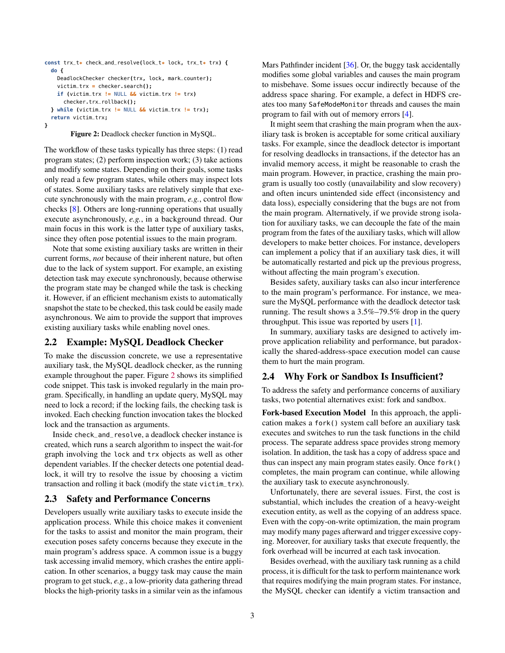```
const trx_t* check_and_resolve(lock_t* lock, trx_t* trx) {
  do {
    DeadlockChecker checker(trx, lock, mark_counter);
    victim_trx = checker.search();
    if (victim_trx != NULL && victim_trx != trx)
      checker.trx_rollback();
  } while (victim_trx != NULL && victim_trx != trx);
  return victim_trx;
}
```
Figure 2: Deadlock checker function in MySQL.

The workflow of these tasks typically has three steps: (1) read program states; (2) perform inspection work; (3) take actions and modify some states. Depending on their goals, some tasks only read a few program states, while others may inspect lots of states. Some auxiliary tasks are relatively simple that execute synchronously with the main program, *e.g.*, control flow checks [\[8\]](#page-14-11). Others are long-running operations that usually execute asynchronously, *e.g.*, in a background thread. Our main focus in this work is the latter type of auxiliary tasks, since they often pose potential issues to the main program.

Note that some existing auxiliary tasks are written in their current forms, *not* because of their inherent nature, but often due to the lack of system support. For example, an existing detection task may execute synchronously, because otherwise the program state may be changed while the task is checking it. However, if an efficient mechanism exists to automatically snapshot the state to be checked, this task could be easily made asynchronous. We aim to provide the support that improves existing auxiliary tasks while enabling novel ones.

### 2.2 Example: MySQL Deadlock Checker

To make the discussion concrete, we use a representative auxiliary task, the MySQL deadlock checker, as the running example throughout the paper. Figure [2](#page-2-0) shows its simplified code snippet. This task is invoked regularly in the main program. Specifically, in handling an update query, MySQL may need to lock a record; if the locking fails, the checking task is invoked. Each checking function invocation takes the blocked lock and the transaction as arguments.

Inside check\_and\_resolve, a deadlock checker instance is created, which runs a search algorithm to inspect the wait-for graph involving the lock and trx objects as well as other dependent variables. If the checker detects one potential deadlock, it will try to resolve the issue by choosing a victim transaction and rolling it back (modify the state victim\_trx).

# 2.3 Safety and Performance Concerns

Developers usually write auxiliary tasks to execute inside the application process. While this choice makes it convenient for the tasks to assist and monitor the main program, their execution poses safety concerns because they execute in the main program's address space. A common issue is a buggy task accessing invalid memory, which crashes the entire application. In other scenarios, a buggy task may cause the main program to get stuck, *e.g.*, a low-priority data gathering thread blocks the high-priority tasks in a similar vein as the infamous

Mars Pathfinder incident [\[36\]](#page-15-11). Or, the buggy task accidentally modifies some global variables and causes the main program to misbehave. Some issues occur indirectly because of the address space sharing. For example, a defect in HDFS creates too many SafeModeMonitor threads and causes the main program to fail with out of memory errors [\[4\]](#page-14-12).

It might seem that crashing the main program when the auxiliary task is broken is acceptable for some critical auxiliary tasks. For example, since the deadlock detector is important for resolving deadlocks in transactions, if the detector has an invalid memory access, it might be reasonable to crash the main program. However, in practice, crashing the main program is usually too costly (unavailability and slow recovery) and often incurs unintended side effect (inconsistency and data loss), especially considering that the bugs are not from the main program. Alternatively, if we provide strong isolation for auxiliary tasks, we can decouple the fate of the main program from the fates of the auxiliary tasks, which will allow developers to make better choices. For instance, developers can implement a policy that if an auxiliary task dies, it will be automatically restarted and pick up the previous progress, without affecting the main program's execution.

Besides safety, auxiliary tasks can also incur interference to the main program's performance. For instance, we measure the MySQL performance with the deadlock detector task running. The result shows a 3.5%–79.5% drop in the query throughput. This issue was reported by users [\[1\]](#page-14-13).

In summary, auxiliary tasks are designed to actively improve application reliability and performance, but paradoxically the shared-address-space execution model can cause them to hurt the main program.

### <span id="page-2-1"></span>2.4 Why Fork or Sandbox Is Insufficient?

To address the safety and performance concerns of auxiliary tasks, two potential alternatives exist: fork and sandbox.

Fork-based Execution Model In this approach, the application makes a fork() system call before an auxiliary task executes and switches to run the task functions in the child process. The separate address space provides strong memory isolation. In addition, the task has a copy of address space and thus can inspect any main program states easily. Once fork() completes, the main program can continue, while allowing the auxiliary task to execute asynchronously.

Unfortunately, there are several issues. First, the cost is substantial, which includes the creation of a heavy-weight execution entity, as well as the copying of an address space. Even with the copy-on-write optimization, the main program may modify many pages afterward and trigger excessive copying. Moreover, for auxiliary tasks that execute frequently, the fork overhead will be incurred at each task invocation.

Besides overhead, with the auxiliary task running as a child process, it is difficult for the task to perform maintenance work that requires modifying the main program states. For instance, the MySQL checker can identify a victim transaction and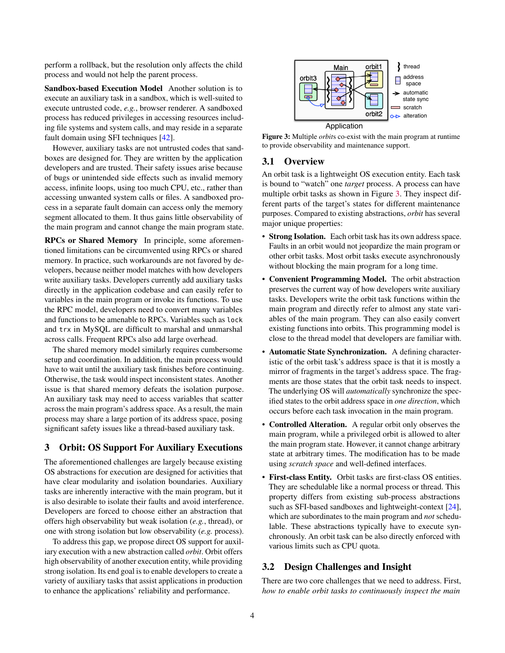perform a rollback, but the resolution only affects the child process and would not help the parent process.

Sandbox-based Execution Model Another solution is to execute an auxiliary task in a sandbox, which is well-suited to execute untrusted code, *e.g.*, browser renderer. A sandboxed process has reduced privileges in accessing resources including file systems and system calls, and may reside in a separate fault domain using SFI techniques [\[42\]](#page-15-9).

However, auxiliary tasks are not untrusted codes that sandboxes are designed for. They are written by the application developers and are trusted. Their safety issues arise because of bugs or unintended side effects such as invalid memory access, infinite loops, using too much CPU, etc., rather than accessing unwanted system calls or files. A sandboxed process in a separate fault domain can access only the memory segment allocated to them. It thus gains little observability of the main program and cannot change the main program state.

RPCs or Shared Memory In principle, some aforementioned limitations can be circumvented using RPCs or shared memory. In practice, such workarounds are not favored by developers, because neither model matches with how developers write auxiliary tasks. Developers currently add auxiliary tasks directly in the application codebase and can easily refer to variables in the main program or invoke its functions. To use the RPC model, developers need to convert many variables and functions to be amenable to RPCs. Variables such as lock and trx in MySQL are difficult to marshal and unmarshal across calls. Frequent RPCs also add large overhead.

The shared memory model similarly requires cumbersome setup and coordination. In addition, the main process would have to wait until the auxiliary task finishes before continuing. Otherwise, the task would inspect inconsistent states. Another issue is that shared memory defeats the isolation purpose. An auxiliary task may need to access variables that scatter across the main program's address space. As a result, the main process may share a large portion of its address space, posing significant safety issues like a thread-based auxiliary task.

# <span id="page-3-1"></span>3 Orbit: OS Support For Auxiliary Executions

The aforementioned challenges are largely because existing OS abstractions for execution are designed for activities that have clear modularity and isolation boundaries. Auxiliary tasks are inherently interactive with the main program, but it is also desirable to isolate their faults and avoid interference. Developers are forced to choose either an abstraction that offers high observability but weak isolation (*e.g.*, thread), or one with strong isolation but low observability (*e.g.* process).

To address this gap, we propose direct OS support for auxiliary execution with a new abstraction called *orbit*. Orbit offers high observability of another execution entity, while providing strong isolation. Its end goal is to enable developers to create a variety of auxiliary tasks that assist applications in production to enhance the applications' reliability and performance.

<span id="page-3-0"></span>



### 3.1 Overview

An orbit task is a lightweight OS execution entity. Each task is bound to "watch" one *target* process. A process can have multiple orbit tasks as shown in Figure [3.](#page-3-0) They inspect different parts of the target's states for different maintenance purposes. Compared to existing abstractions, *orbit* has several major unique properties:

- Strong Isolation. Each orbit task has its own address space. Faults in an orbit would not jeopardize the main program or other orbit tasks. Most orbit tasks execute asynchronously without blocking the main program for a long time.
- Convenient Programming Model. The orbit abstraction preserves the current way of how developers write auxiliary tasks. Developers write the orbit task functions within the main program and directly refer to almost any state variables of the main program. They can also easily convert existing functions into orbits. This programming model is close to the thread model that developers are familiar with.
- Automatic State Synchronization. A defining characteristic of the orbit task's address space is that it is mostly a mirror of fragments in the target's address space. The fragments are those states that the orbit task needs to inspect. The underlying OS will *automatically* synchronize the specified states to the orbit address space in *one direction*, which occurs before each task invocation in the main program.
- Controlled Alteration. A regular orbit only observes the main program, while a privileged orbit is allowed to alter the main program state. However, it cannot change arbitrary state at arbitrary times. The modification has to be made using *scratch space* and well-defined interfaces.
- First-class Entity. Orbit tasks are first-class OS entities. They are schedulable like a normal process or thread. This property differs from existing sub-process abstractions such as SFI-based sandboxes and lightweight-context [\[24\]](#page-14-8), which are subordinates to the main program and *not* schedulable. These abstractions typically have to execute synchronously. An orbit task can be also directly enforced with various limits such as CPU quota.

# 3.2 Design Challenges and Insight

There are two core challenges that we need to address. First, *how to enable orbit tasks to continuously inspect the main*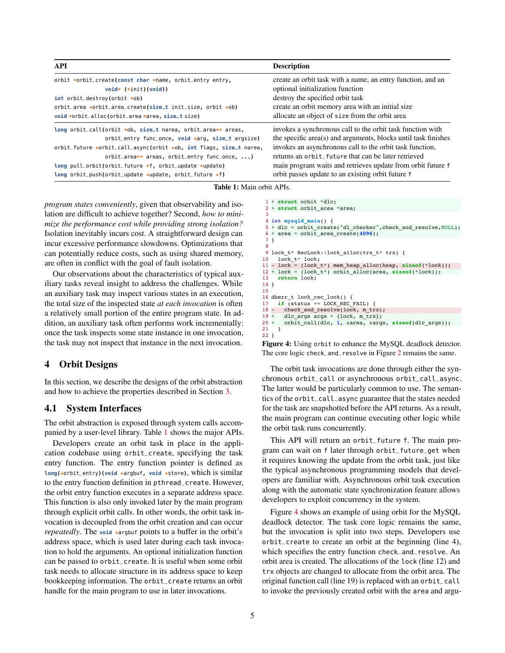<span id="page-4-0"></span>

| API                                                                | <b>Description</b>                                             |
|--------------------------------------------------------------------|----------------------------------------------------------------|
| orbit *orbit_create(const char *name, orbit_entry entry,           | create an orbit task with a name, an entry function, and an    |
| $void*$ $(*init)(void))$                                           | optional initialization function                               |
| $int$ orbit_destroy(orbit $*$ ob)                                  | destroy the specified orbit task                               |
| orbit_area *orbit_area_create(size_t init_size, orbit *ob)         | create an orbit memory area with an initial size               |
| void *orbit_alloc(orbit_area *area, size_t size)                   | allocate an object of size from the orbit area                 |
| long orbit_call(orbit *ob, size_t narea, orbit_area** areas,       | invokes a synchronous call to the orbit task function with     |
| orbit_entry func_once, void *arg, size_t argsize)                  | the specific area(s) and arguments, blocks until task finishes |
| orbit_future *orbit_call_async(orbit *ob, int flags, size_t narea, | invokes an asynchronous call to the orbit task function,       |
| orbit_area** areas, orbit_entry func_once, )                       | returns an orbit future that can be later retrieved            |
| long pull_orbit(orbit_future *f, orbit_update *update)             | main program waits and retrieves update from orbit future f    |
| long orbit_push(orbit_update *update, orbit_future *f)             | orbit passes update to an existing orbit future f              |

Table 1: Main orbit APIs.

*program states conveniently*, given that observability and isolation are difficult to achieve together? Second, *how to minimize the performance cost while providing strong isolation?* Isolation inevitably incurs cost. A straightforward design can incur excessive performance slowdowns. Optimizations that can potentially reduce costs, such as using shared memory, are often in conflict with the goal of fault isolation.

Our observations about the characteristics of typical auxiliary tasks reveal insight to address the challenges. While an auxiliary task may inspect various states in an execution, the total size of the inspected state *at each invocation* is often a relatively small portion of the entire program state. In addition, an auxiliary task often performs work incrementally: once the task inspects some state instance in one invocation, the task may not inspect that instance in the next invocation.

# 4 Orbit Designs

In this section, we describe the designs of the orbit abstraction and how to achieve the properties described in Section [3.](#page-3-1)

# 4.1 System Interfaces

The orbit abstraction is exposed through system calls accompanied by a user-level library. Table [1](#page-4-0) shows the major APIs.

Developers create an orbit task in place in the application codebase using orbit\_create, specifying the task entry function. The entry function pointer is defined as **long(\***orbit\_entry**)(void \***argbuf**, void \***store**)**, which is similar to the entry function definition in pthread\_create. However, the orbit entry function executes in a separate address space. This function is also only invoked later by the main program through explicit orbit calls. In other words, the orbit task invocation is decoupled from the orbit creation and can occur *repeatedly*. The **void \***argbuf points to a buffer in the orbit's address space, which is used later during each task invocation to hold the arguments. An optional initialization function can be passed to orbit\_create. It is useful when some orbit task needs to allocate structure in its address space to keep bookkeeping information. The orbit\_create returns an orbit handle for the main program to use in later invocations.

```
+ struct orbit *dlc;
1
 2 + struct orbit_area *area;
 int mysqld_main() {
4
 + dlc = orbit_create("dl_checker",check_and_resolve,NULL);
5
 + area = orbit_area_create(4096);
6
 }
7
 8<br>9 lock_t* RecLock::lock_alloc(trx_t* trx) {
   lock_t* lock;
- lock = (lock_t*) mem_heap_alloc(heap, sizeof(*lock));
11
12 + \text{lock} = (\text{lock } t^*) orbit alloc(area, \text{sizeof}(\text{*lock}));
     return lock;
}
14
16 dberr_t lock_rec_lock() {
     if (status == LOCK_REC_FAIL) {
      check_and_resolve(lock, m_trx);
       dlc args args = {lock, m trx};
      + orbit_call(dlc, 1, &area, &args, sizeof(dlc_args));
     }
}
22
 3
10
13
15
17
18 -19 +20 +21
```
Figure 4: Using orbit to enhance the MySQL deadlock detector. The core logic check\_and\_resolve in Figure [2](#page-2-0) remains the same.

The orbit task invocations are done through either the synchronous orbit\_call or asynchronous orbit\_call\_async. The latter would be particularly common to use. The semantics of the orbit\_call\_async guarantee that the states needed for the task are snapshotted before the API returns. As a result, the main program can continue executing other logic while the orbit task runs concurrently.

This API will return an orbit\_future f. The main program can wait on f later through orbit\_future\_get when it requires knowing the update from the orbit task, just like the typical asynchronous programming models that developers are familiar with. Asynchronous orbit task execution along with the automatic state synchronization feature allows developers to exploit concurrency in the system.

Figure [4](#page-4-1) shows an example of using orbit for the MySQL deadlock detector. The task core logic remains the same, but the invocation is split into two steps. Developers use orbit\_create to create an orbit at the beginning (line 4), which specifies the entry function check\_and\_resolve. An orbit area is created. The allocations of the lock (line 12) and trx objects are changed to allocate from the orbit area. The original function call (line 19) is replaced with an orbit\_call to invoke the previously created orbit with the area and argu-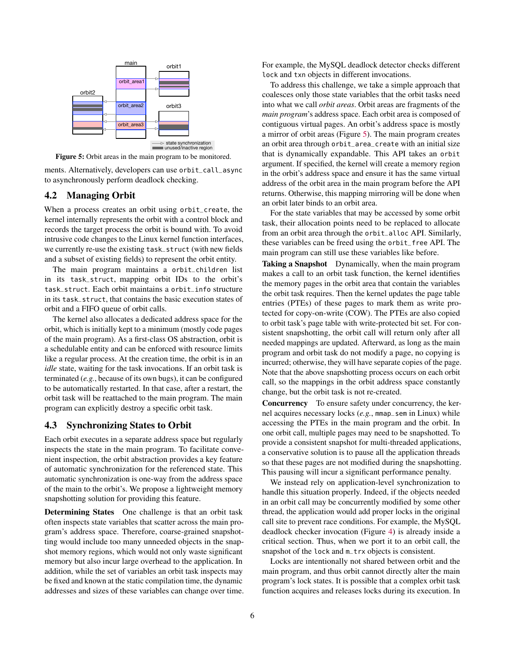<span id="page-5-0"></span>

Figure 5: Orbit areas in the main program to be monitored.

ments. Alternatively, developers can use orbit\_call\_async to asynchronously perform deadlock checking.

# <span id="page-5-2"></span>4.2 Managing Orbit

When a process creates an orbit using orbit\_create, the kernel internally represents the orbit with a control block and records the target process the orbit is bound with. To avoid intrusive code changes to the Linux kernel function interfaces, we currently re-use the existing task\_struct (with new fields and a subset of existing fields) to represent the orbit entity.

The main program maintains a orbit\_children list in its task\_struct, mapping orbit IDs to the orbit's task\_struct. Each orbit maintains a orbit\_info structure in its task\_struct, that contains the basic execution states of orbit and a FIFO queue of orbit calls.

The kernel also allocates a dedicated address space for the orbit, which is initially kept to a minimum (mostly code pages of the main program). As a first-class OS abstraction, orbit is a schedulable entity and can be enforced with resource limits like a regular process. At the creation time, the orbit is in an *idle* state, waiting for the task invocations. If an orbit task is terminated (*e.g.*, because of its own bugs), it can be configured to be automatically restarted. In that case, after a restart, the orbit task will be reattached to the main program. The main program can explicitly destroy a specific orbit task.

### <span id="page-5-1"></span>4.3 Synchronizing States to Orbit

Each orbit executes in a separate address space but regularly inspects the state in the main program. To facilitate convenient inspection, the orbit abstraction provides a key feature of automatic synchronization for the referenced state. This automatic synchronization is one-way from the address space of the main to the orbit's. We propose a lightweight memory snapshotting solution for providing this feature.

Determining States One challenge is that an orbit task often inspects state variables that scatter across the main program's address space. Therefore, coarse-grained snapshotting would include too many unneeded objects in the snapshot memory regions, which would not only waste significant memory but also incur large overhead to the application. In addition, while the set of variables an orbit task inspects may be fixed and known at the static compilation time, the dynamic addresses and sizes of these variables can change over time. For example, the MySQL deadlock detector checks different lock and txn objects in different invocations.

To address this challenge, we take a simple approach that coalesces only those state variables that the orbit tasks need into what we call *orbit areas*. Orbit areas are fragments of the *main program*'s address space. Each orbit area is composed of contiguous virtual pages. An orbit's address space is mostly a mirror of orbit areas (Figure [5\)](#page-5-0). The main program creates an orbit area through orbit\_area\_create with an initial size that is dynamically expandable. This API takes an orbit argument. If specified, the kernel will create a memory region in the orbit's address space and ensure it has the same virtual address of the orbit area in the main program before the API returns. Otherwise, this mapping mirroring will be done when an orbit later binds to an orbit area.

For the state variables that may be accessed by some orbit task, their allocation points need to be replaced to allocate from an orbit area through the orbit\_alloc API. Similarly, these variables can be freed using the orbit\_free API. The main program can still use these variables like before.

Taking a Snapshot Dynamically, when the main program makes a call to an orbit task function, the kernel identifies the memory pages in the orbit area that contain the variables the orbit task requires. Then the kernel updates the page table entries (PTEs) of these pages to mark them as write protected for copy-on-write (COW). The PTEs are also copied to orbit task's page table with write-protected bit set. For consistent snapshotting, the orbit call will return only after all needed mappings are updated. Afterward, as long as the main program and orbit task do not modify a page, no copying is incurred; otherwise, they will have separate copies of the page. Note that the above snapshotting process occurs on each orbit call, so the mappings in the orbit address space constantly change, but the orbit task is not re-created.

Concurrency To ensure safety under concurrency, the kernel acquires necessary locks (*e.g.*, mmap\_sem in Linux) while accessing the PTEs in the main program and the orbit. In one orbit call, multiple pages may need to be snapshotted. To provide a consistent snapshot for multi-threaded applications, a conservative solution is to pause all the application threads so that these pages are not modified during the snapshotting. This pausing will incur a significant performance penalty.

We instead rely on application-level synchronization to handle this situation properly. Indeed, if the objects needed in an orbit call may be concurrently modified by some other thread, the application would add proper locks in the original call site to prevent race conditions. For example, the MySQL deadlock checker invocation (Figure [4\)](#page-4-1) is already inside a critical section. Thus, when we port it to an orbit call, the snapshot of the lock and m\_trx objects is consistent.

Locks are intentionally not shared between orbit and the main program, and thus orbit cannot directly alter the main program's lock states. It is possible that a complex orbit task function acquires and releases locks during its execution. In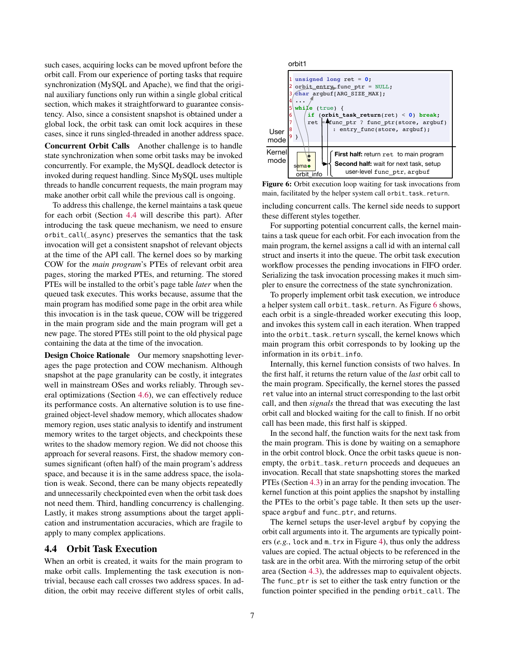such cases, acquiring locks can be moved upfront before the orbit call. From our experience of porting tasks that require synchronization (MySQL and Apache), we find that the original auxiliary functions only run within a single global critical section, which makes it straightforward to guarantee consistency. Also, since a consistent snapshot is obtained under a global lock, the orbit task can omit lock acquires in these cases, since it runs singled-threaded in another address space.

Concurrent Orbit Calls Another challenge is to handle state synchronization when some orbit tasks may be invoked concurrently. For example, the MySQL deadlock detector is invoked during request handling. Since MySQL uses multiple threads to handle concurrent requests, the main program may make another orbit call while the previous call is ongoing.

To address this challenge, the kernel maintains a task queue for each orbit (Section [4.4](#page-6-0) will describe this part). After introducing the task queue mechanism, we need to ensure orbit\_call(\_async) preserves the semantics that the task invocation will get a consistent snapshot of relevant objects at the time of the API call. The kernel does so by marking COW for the *main program*'s PTEs of relevant orbit area pages, storing the marked PTEs, and returning. The stored PTEs will be installed to the orbit's page table *later* when the queued task executes. This works because, assume that the main program has modified some page in the orbit area while this invocation is in the task queue, COW will be triggered in the main program side and the main program will get a new page. The stored PTEs still point to the old physical page containing the data at the time of the invocation.

Design Choice Rationale Our memory snapshotting leverages the page protection and COW mechanism. Although snapshot at the page granularity can be costly, it integrates well in mainstream OSes and works reliably. Through several optimizations (Section [4.6\)](#page-7-0), we can effectively reduce its performance costs. An alternative solution is to use finegrained object-level shadow memory, which allocates shadow memory region, uses static analysis to identify and instrument memory writes to the target objects, and checkpoints these writes to the shadow memory region. We did not choose this approach for several reasons. First, the shadow memory consumes significant (often half) of the main program's address space, and because it is in the same address space, the isolation is weak. Second, there can be many objects repeatedly and unnecessarily checkpointed even when the orbit task does not need them. Third, handling concurrency is challenging. Lastly, it makes strong assumptions about the target application and instrumentation accuracies, which are fragile to apply to many complex applications.

# <span id="page-6-0"></span>4.4 Orbit Task Execution

When an orbit is created, it waits for the main program to make orbit calls. Implementing the task execution is nontrivial, because each call crosses two address spaces. In addition, the orbit may receive different styles of orbit calls,

<span id="page-6-1"></span>

Figure 6: Orbit execution loop waiting for task invocations from main, facilitated by the helper system call orbit\_task\_return.

including concurrent calls. The kernel side needs to support these different styles together.

For supporting potential concurrent calls, the kernel maintains a task queue for each orbit. For each invocation from the main program, the kernel assigns a call id with an internal call struct and inserts it into the queue. The orbit task execution workflow processes the pending invocations in FIFO order. Serializing the task invocation processing makes it much simpler to ensure the correctness of the state synchronization.

To properly implement orbit task execution, we introduce a helper system call orbit\_task\_return. As Figure [6](#page-6-1) shows, each orbit is a single-threaded worker executing this loop, and invokes this system call in each iteration. When trapped into the orbit\_task\_return syscall, the kernel knows which main program this orbit corresponds to by looking up the information in its orbit\_info.

Internally, this kernel function consists of two halves. In the first half, it returns the return value of the *last* orbit call to the main program. Specifically, the kernel stores the passed ret value into an internal struct corresponding to the last orbit call, and then *signals* the thread that was executing the last orbit call and blocked waiting for the call to finish. If no orbit call has been made, this first half is skipped.

In the second half, the function waits for the next task from the main program. This is done by waiting on a semaphore in the orbit control block. Once the orbit tasks queue is nonempty, the orbit\_task\_return proceeds and dequeues an invocation. Recall that state snapshotting stores the marked PTEs (Section [4.3\)](#page-5-1) in an array for the pending invocation. The kernel function at this point applies the snapshot by installing the PTEs to the orbit's page table. It then sets up the userspace argbuf and func\_ptr, and returns.

The kernel setups the user-level argbuf by copying the orbit call arguments into it. The arguments are typically pointers (*e.g.*, lock and m\_trx in Figure [4\)](#page-4-1), thus only the address values are copied. The actual objects to be referenced in the task are in the orbit area. With the mirroring setup of the orbit area (Section [4.3\)](#page-5-1), the addresses map to equivalent objects. The func\_ptr is set to either the task entry function or the function pointer specified in the pending orbit\_call. The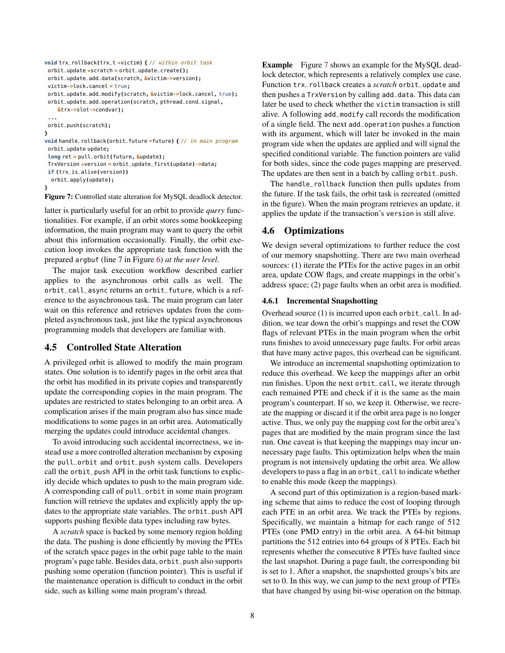```
void trx_rollback(trx_t *victim) { // within orbit task
orbit_update *scratch = orbit_update_create();
 orbit_update_add_data(scratch, &victim->version);
 victim->lock.cancel = true;
 orbit_update_add_modify(scratch, &victim->lock.cancel, true);
 orbit_update_add_operation(scratch, pthread_cond_signal,
    &trx->slot->condvar);
 ...
orbit_push(scratch);
}
void handle_rollback(orbit_future *future) { // in main program
 orbit_update update;
 long ret = pull_orbit(future, &update);
 TrxVersion *version = orbit_update_first(update)->data;
 if (trx_is_alive(version))
  orbit_apply(update);
}
```
Figure 7: Controlled state alteration for MySQL deadlock detector.

latter is particularly useful for an orbit to provide *query* functionalities. For example, if an orbit stores some bookkeeping information, the main program may want to query the orbit about this information occasionally. Finally, the orbit execution loop invokes the appropriate task function with the prepared argbuf (line 7 in Figure [6\)](#page-6-1) *at the user level*.

The major task execution workflow described earlier applies to the asynchronous orbit calls as well. The orbit\_call\_async returns an orbit\_future, which is a reference to the asynchronous task. The main program can later wait on this reference and retrieves updates from the completed asynchronous task, just like the typical asynchronous programming models that developers are familiar with.

# 4.5 Controlled State Alteration

A privileged orbit is allowed to modify the main program states. One solution is to identify pages in the orbit area that the orbit has modified in its private copies and transparently update the corresponding copies in the main program. The updates are restricted to states belonging to an orbit area. A complication arises if the main program also has since made modifications to some pages in an orbit area. Automatically merging the updates could introduce accidental changes.

To avoid introducing such accidental incorrectness, we instead use a more controlled alteration mechanism by exposing the pull\_orbit and orbit\_push system calls. Developers call the orbit\_push API in the orbit task functions to explicitly decide which updates to push to the main program side. A corresponding call of pull\_orbit in some main program function will retrieve the updates and explicitly apply the updates to the appropriate state variables. The orbit\_push API supports pushing flexible data types including raw bytes.

A *scratch* space is backed by some memory region holding the data. The pushing is done efficiently by moving the PTEs of the scratch space pages in the orbit page table to the main program's page table. Besides data, orbit\_push also supports pushing some operation (function pointer). This is useful if the maintenance operation is difficult to conduct in the orbit side, such as killing some main program's thread.

Example Figure [7](#page-7-1) shows an example for the MySQL deadlock detector, which represents a relatively complex use case. Function trx\_rollback creates a *scratch* orbit\_update and then pushes a TrxVersion by calling add\_data. This data can later be used to check whether the victim transaction is still alive. A following add\_modify call records the modification of a single field. The next add\_operation pushes a function with its argument, which will later be invoked in the main program side when the updates are applied and will signal the specified conditional variable. The function pointers are valid for both sides, since the code pages mapping are preserved. The updates are then sent in a batch by calling orbit\_push.

The handle\_rollback function then pulls updates from the future. If the task fails, the orbit task is recreated (omitted in the figure). When the main program retrieves an update, it applies the update if the transaction's version is still alive.

### <span id="page-7-0"></span>4.6 Optimizations

We design several optimizations to further reduce the cost of our memory snapshotting. There are two main overhead sources: (1) iterate the PTEs for the active pages in an orbit area, update COW flags, and create mappings in the orbit's address space; (2) page faults when an orbit area is modified.

### 4.6.1 Incremental Snapshotting

Overhead source (1) is incurred upon each orbit\_call. In addition, we tear down the orbit's mappings and reset the COW flags of relevant PTEs in the main program when the orbit runs finishes to avoid unnecessary page faults. For orbit areas that have many active pages, this overhead can be significant.

We introduce an incremental snapshotting optimization to reduce this overhead. We keep the mappings after an orbit run finishes. Upon the next orbit\_call, we iterate through each remained PTE and check if it is the same as the main program's counterpart. If so, we keep it. Otherwise, we recreate the mapping or discard it if the orbit area page is no longer active. Thus, we only pay the mapping cost for the orbit area's pages that are modified by the main program since the last run. One caveat is that keeping the mappings may incur unnecessary page faults. This optimization helps when the main program is not intensively updating the orbit area. We allow developers to pass a flag in an orbit\_call to indicate whether to enable this mode (keep the mappings).

A second part of this optimization is a region-based marking scheme that aims to reduce the cost of looping through each PTE in an orbit area. We track the PTEs by regions. Specifically, we maintain a bitmap for each range of 512 PTEs (one PMD entry) in the orbit area. A 64-bit bitmap partitions the 512 entries into 64 groups of 8 PTEs. Each bit represents whether the consecutive 8 PTEs have faulted since the last snapshot. During a page fault, the corresponding bit is set to 1. After a snapshot, the snapshotted groups's bits are set to 0. In this way, we can jump to the next group of PTEs that have changed by using bit-wise operation on the bitmap.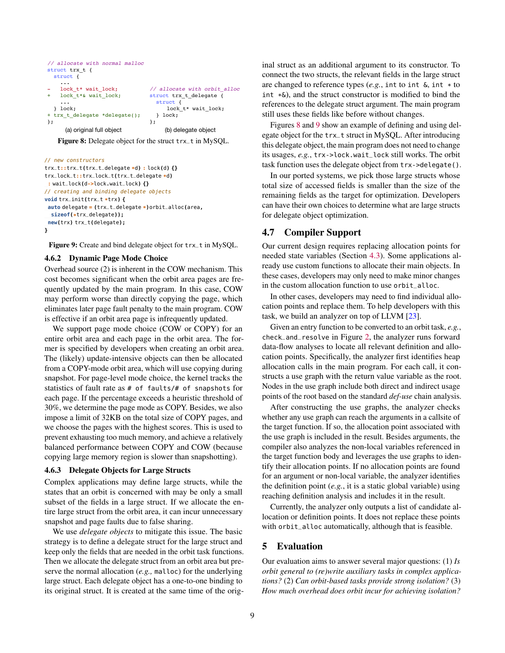```
// allocate with normal malloc
struct trx t {
  struct {
 ...
   lock t* wait lock;
   lock_t*& wait_lock;
     ...
  } lock;
+ trx_t_delegate *delegate();
};
                                // allocate with orbit_alloc
                                struct trx_t_delegate {
                                   struct {
                                       lock_t* wait_lock;
                                   } lock;
                                };
     (a) original full object (b) delegate object
```
Figure 8: Delegate object for the struct trx\_t in MySQL.

```
// new constructors
```

```
trx_t::trx_t(trx_t_delegate *d) : lock(d) {}
trx_lock_t::trx_lock_t(trx_t_delegate *d)
: wait_lock(d->lock.wait_lock) {}
// creating and binding delegate objects
void trx_init(trx_t *trx) {
 auto delegate = (trx_t_delegate *)orbit_alloc(area,
  sizeof(*trx_delegate));
 new(trx) trx_t(delegate);
}
```
Figure 9: Create and bind delegate object for trx\_t in MySQL.

#### 4.6.2 Dynamic Page Mode Choice

Overhead source (2) is inherent in the COW mechanism. This cost becomes significant when the orbit area pages are frequently updated by the main program. In this case, COW may perform worse than directly copying the page, which eliminates later page fault penalty to the main program. COW is effective if an orbit area page is infrequently updated.

We support page mode choice (COW or COPY) for an entire orbit area and each page in the orbit area. The former is specified by developers when creating an orbit area. The (likely) update-intensive objects can then be allocated from a COPY-mode orbit area, which will use copying during snapshot. For page-level mode choice, the kernel tracks the statistics of fault rate as # of faults/# of snapshots for each page. If the percentage exceeds a heuristic threshold of 30%, we determine the page mode as COPY. Besides, we also impose a limit of 32KB on the total size of COPY pages, and we choose the pages with the highest scores. This is used to prevent exhausting too much memory, and achieve a relatively balanced performance between COPY and COW (because copying large memory region is slower than snapshotting).

#### 4.6.3 Delegate Objects for Large Structs

Complex applications may define large structs, while the states that an orbit is concerned with may be only a small subset of the fields in a large struct. If we allocate the entire large struct from the orbit area, it can incur unnecessary snapshot and page faults due to false sharing.

We use *delegate objects* to mitigate this issue. The basic strategy is to define a delegate struct for the large struct and keep only the fields that are needed in the orbit task functions. Then we allocate the delegate struct from an orbit area but preserve the normal allocation (*e.g.,* malloc) for the underlying large struct. Each delegate object has a one-to-one binding to its original struct. It is created at the same time of the original struct as an additional argument to its constructor. To connect the two structs, the relevant fields in the large struct are changed to reference types (*e.g.*, int to int &, int \* to int \*&), and the struct constructor is modified to bind the references to the delegate struct argument. The main program still uses these fields like before without changes.

Figures [8](#page-8-0) and [9](#page-8-1) show an example of defining and using delegate object for the trx\_t struct in MySQL. After introducing this delegate object, the main program does not need to change its usages, *e.g.*, trx->lock.wait\_lock still works. The orbit task function uses the delegate object from trx->delegate().

In our ported systems, we pick those large structs whose total size of accessed fields is smaller than the size of the remaining fields as the target for optimization. Developers can have their own choices to determine what are large structs for delegate object optimization.

# <span id="page-8-2"></span>4.7 Compiler Support

Our current design requires replacing allocation points for needed state variables (Section [4.3\)](#page-5-1). Some applications already use custom functions to allocate their main objects. In these cases, developers may only need to make minor changes in the custom allocation function to use orbit\_alloc.

In other cases, developers may need to find individual allocation points and replace them. To help developers with this task, we build an analyzer on top of LLVM [\[23\]](#page-14-14).

Given an entry function to be converted to an orbit task, *e.g.*, check\_and\_resolve in Figure [2,](#page-2-0) the analyzer runs forward data-flow analyses to locate all relevant definition and allocation points. Specifically, the analyzer first identifies heap allocation calls in the main program. For each call, it constructs a use graph with the return value variable as the root. Nodes in the use graph include both direct and indirect usage points of the root based on the standard *def-use* chain analysis.

After constructing the use graphs, the analyzer checks whether any use graph can reach the arguments in a callsite of the target function. If so, the allocation point associated with the use graph is included in the result. Besides arguments, the compiler also analyzes the non-local variables referenced in the target function body and leverages the use graphs to identify their allocation points. If no allocation points are found for an argument or non-local variable, the analyzer identifies the definition point (*e.g.*, it is a static global variable) using reaching definition analysis and includes it in the result.

Currently, the analyzer only outputs a list of candidate allocation or definition points. It does not replace these points with orbit\_alloc automatically, although that is feasible.

# 5 Evaluation

Our evaluation aims to answer several major questions: (1) *Is orbit general to (re)write auxiliary tasks in complex applications?* (2) *Can orbit-based tasks provide strong isolation?* (3) *How much overhead does orbit incur for achieving isolation?*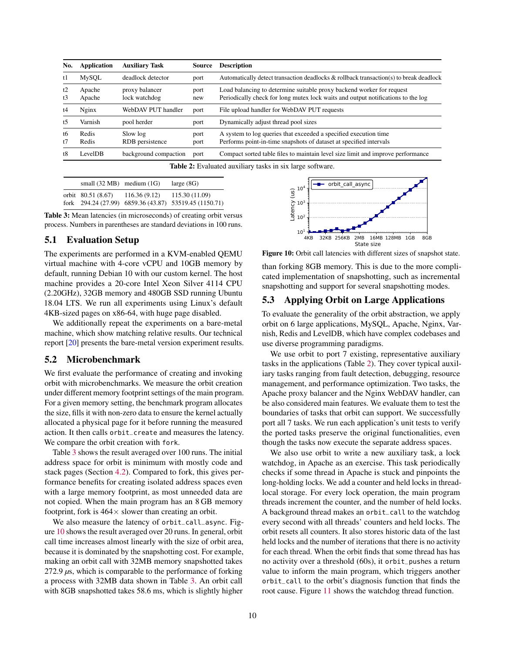<span id="page-9-2"></span>

| No.      | <b>Application</b> | <b>Auxiliary Task</b>           | Source       | <b>Description</b>                                                                                                                                        |
|----------|--------------------|---------------------------------|--------------|-----------------------------------------------------------------------------------------------------------------------------------------------------------|
| t1       | MySQL              | deadlock detector               | port         | Automatically detect transaction deadlocks & rollback transaction(s) to break deadlock                                                                    |
| t2<br>t3 | Apache<br>Apache   | proxy balancer<br>lock watchdog | port<br>new  | Load balancing to determine suitable proxy backend worker for request<br>Periodically check for long mutex lock waits and output notifications to the log |
| t4       | Nginx              | WebDAV PUT handler              | port         | File upload handler for WebDAV PUT requests                                                                                                               |
| t5       | Varnish            | pool herder                     | port         | Dynamically adjust thread pool sizes                                                                                                                      |
| t6<br>t7 | Redis<br>Redis     | Slow log<br>RDB persistence     | port<br>port | A system to log queries that exceeded a specified execution time<br>Performs point-in-time snapshots of dataset at specified intervals                    |
| t8       | LevelDB            | background compaction           | port         | Compact sorted table files to maintain level size limit and improve performance                                                                           |

Table 2: Evaluated auxiliary tasks in six large software.

<span id="page-9-0"></span>

| small $(32 \text{ MB})$ medium $(1 \text{ G})$ |              | large $(8G)$                                                              |
|------------------------------------------------|--------------|---------------------------------------------------------------------------|
| orbit 80.51 (8.67)                             | 116.36(9.12) | 115.30 (11.09)<br>fork $294.24(27.99)$ 6859.36 (43.87) 53519.45 (1150.71) |

Table 3: Mean latencies (in microseconds) of creating orbit versus process. Numbers in parentheses are standard deviations in 100 runs.

# 5.1 Evaluation Setup

The experiments are performed in a KVM-enabled QEMU virtual machine with 4-core vCPU and 10GB memory by default, running Debian 10 with our custom kernel. The host machine provides a 20-core Intel Xeon Silver 4114 CPU (2.20GHz), 32GB memory and 480GB SSD running Ubuntu 18.04 LTS. We run all experiments using Linux's default 4KB-sized pages on x86-64, with huge page disabled.

We additionally repeat the experiments on a bare-metal machine, which show matching relative results. Our technical report [\[20\]](#page-14-15) presents the bare-metal version experiment results.

### 5.2 Microbenchmark

We first evaluate the performance of creating and invoking orbit with microbenchmarks. We measure the orbit creation under different memory footprint settings of the main program. For a given memory setting, the benchmark program allocates the size, fills it with non-zero data to ensure the kernel actually allocated a physical page for it before running the measured action. It then calls orbit\_create and measures the latency. We compare the orbit creation with fork.

Table [3](#page-9-0) shows the result averaged over 100 runs. The initial address space for orbit is minimum with mostly code and stack pages (Section [4.2\)](#page-5-2). Compared to fork, this gives performance benefits for creating isolated address spaces even with a large memory footprint, as most unneeded data are not copied. When the main program has an 8 GB memory footprint, fork is  $464 \times$  slower than creating an orbit.

We also measure the latency of orbit\_call\_async. Figure [10](#page-9-1) shows the result averaged over 20 runs. In general, orbit call time increases almost linearly with the size of orbit area, because it is dominated by the snapshotting cost. For example, making an orbit call with 32MB memory snapshotted takes 272.9 *µ*s, which is comparable to the performance of forking a process with 32MB data shown in Table [3.](#page-9-0) An orbit call with 8GB snapshotted takes 58.6 ms, which is slightly higher

<span id="page-9-1"></span>

Figure 10: Orbit call latencies with different sizes of snapshot state.

than forking 8GB memory. This is due to the more complicated implementation of snapshotting, such as incremental snapshotting and support for several snapshotting modes.

# 5.3 Applying Orbit on Large Applications

To evaluate the generality of the orbit abstraction, we apply orbit on 6 large applications, MySQL, Apache, Nginx, Varnish, Redis and LevelDB, which have complex codebases and use diverse programming paradigms.

We use orbit to port 7 existing, representative auxiliary tasks in the applications (Table [2\)](#page-9-2). They cover typical auxiliary tasks ranging from fault detection, debugging, resource management, and performance optimization. Two tasks, the Apache proxy balancer and the Nginx WebDAV handler, can be also considered main features. We evaluate them to test the boundaries of tasks that orbit can support. We successfully port all 7 tasks. We run each application's unit tests to verify the ported tasks preserve the original functionalities, even though the tasks now execute the separate address spaces.

We also use orbit to write a new auxiliary task, a lock watchdog, in Apache as an exercise. This task periodically checks if some thread in Apache is stuck and pinpoints the long-holding locks. We add a counter and held locks in threadlocal storage. For every lock operation, the main program threads increment the counter, and the number of held locks. A background thread makes an orbit\_call to the watchdog every second with all threads' counters and held locks. The orbit resets all counters. It also stores historic data of the last held locks and the number of iterations that there is no activity for each thread. When the orbit finds that some thread has has no activity over a threshold (60s), it orbit\_pushes a return value to inform the main program, which triggers another orbit\_call to the orbit's diagnosis function that finds the root cause. Figure [11](#page-10-0) shows the watchdog thread function.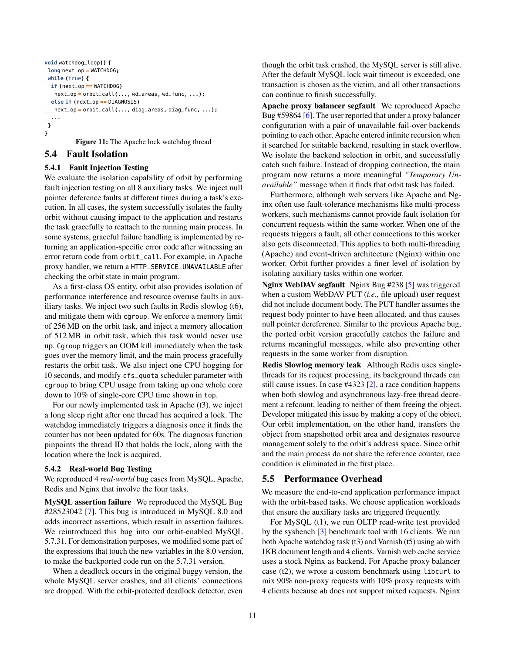```
void watchdog_loop() {
 long next_op = WATCHDOG;
 while (true) {
  if (next_op == WATCHDOG)
   next_op = orbit_call(..., wd_areas, wd_func, ...);
  else if (next_op == DIAGNOSIS)
  next_op = orbit_call(..., diag_areas, diag_func, ...);
  ...
}
}
```
Figure 11: The Apache lock watchdog thread

### 5.4 Fault Isolation

# 5.4.1 Fault Injection Testing

We evaluate the isolation capability of orbit by performing fault injection testing on all 8 auxiliary tasks. We inject null pointer deference faults at different times during a task's execution. In all cases, the system successfully isolates the faulty orbit without causing impact to the application and restarts the task gracefully to reattach to the running main process. In some systems, graceful failure handling is implemented by returning an application-specific error code after witnessing an error return code from orbit\_call. For example, in Apache proxy handler, we return a HTTP\_SERVICE\_UNAVAILABLE after checking the orbit state in main program.

As a first-class OS entity, orbit also provides isolation of performance interference and resource overuse faults in auxiliary tasks. We inject two such faults in Redis slowlog (t6), and mitigate them with cgroup. We enforce a memory limit of 256 MB on the orbit task, and inject a memory allocation of 512 MB in orbit task, which this task would never use up. Cgroup triggers an OOM kill immediately when the task goes over the memory limit, and the main process gracefully restarts the orbit task. We also inject one CPU hogging for 10 seconds, and modify cfs\_quota scheduler parameter with cgroup to bring CPU usage from taking up one whole core down to 10% of single-core CPU time shown in top.

For our newly implemented task in Apache (t3), we inject a long sleep right after one thread has acquired a lock. The watchdog immediately triggers a diagnosis once it finds the counter has not been updated for 60s. The diagnosis function pinpoints the thread ID that holds the lock, along with the location where the lock is acquired.

#### 5.4.2 Real-world Bug Testing

We reproduced 4 *real-world* bug cases from MySQL, Apache, Redis and Nginx that involve the four tasks.

MySQL assertion failure We reproduced the MySQL Bug #28523042 [\[7\]](#page-14-16). This bug is introduced in MySQL 8.0 and adds incorrect assertions, which result in assertion failures. We reintroduced this bug into our orbit-enabled MySQL 5.7.31. For demonstration purposes, we modified some part of the expressions that touch the new variables in the 8.0 version, to make the backported code run on the 5.7.31 version.

When a deadlock occurs in the original buggy version, the whole MySQL server crashes, and all clients' connections are dropped. With the orbit-protected deadlock detector, even though the orbit task crashed, the MySQL server is still alive. After the default MySQL lock wait timeout is exceeded, one transaction is chosen as the victim, and all other transactions can continue to finish successfully.

Apache proxy balancer segfault We reproduced Apache Bug #59864 [\[6\]](#page-14-17). The user reported that under a proxy balancer configuration with a pair of unavailable fail-over backends pointing to each other, Apache entered infinite recursion when it searched for suitable backend, resulting in stack overflow. We isolate the backend selection in orbit, and successfully catch such failure. Instead of dropping connection, the main program now returns a more meaningful *"Temporary Unavailable"* message when it finds that orbit task has failed.

Furthermore, although web servers like Apache and Nginx often use fault-tolerance mechanisms like multi-process workers, such mechanisms cannot provide fault isolation for concurrent requests within the same worker. When one of the requests triggers a fault, all other connections to this worker also gets disconnected. This applies to both multi-threading (Apache) and event-driven architecture (Nginx) within one worker. Orbit further provides a finer level of isolation by isolating auxiliary tasks within one worker.

Nginx WebDAV segfault Nginx Bug #238 [\[5\]](#page-14-18) was triggered when a custom WebDAV PUT (*i.e.*, file upload) user request did not include document body. The PUT handler assumes the request body pointer to have been allocated, and thus causes null pointer dereference. Similar to the previous Apache bug, the ported orbit version gracefully catches the failure and returns meaningful messages, while also preventing other requests in the same worker from disruption.

Redis Slowlog memory leak Although Redis uses singlethreads for its request processing, its background threads can still cause issues. In case #4323 [\[2\]](#page-14-19), a race condition happens when both slowlog and asynchronous lazy-free thread decrement a refcount, leading to neither of them freeing the object. Developer mitigated this issue by making a copy of the object. Our orbit implementation, on the other hand, transfers the object from snapshotted orbit area and designates resource management solely to the orbit's address space. Since orbit and the main process do not share the reference counter, race condition is eliminated in the first place.

### 5.5 Performance Overhead

We measure the end-to-end application performance impact with the orbit-based tasks. We choose application workloads that ensure the auxiliary tasks are triggered frequently.

For MySQL (t1), we run OLTP read-write test provided by the sysbench [\[3\]](#page-14-20) benchmark tool with 16 clients. We run both Apache watchdog task (t3) and Varnish (t5) using ab with 1KB document length and 4 clients. Varnish web cache service uses a stock Nginx as backend. For Apache proxy balancer case (t2), we wrote a custom benchmark using libcurl to mix 90% non-proxy requests with 10% proxy requests with 4 clients because ab does not support mixed requests. Nginx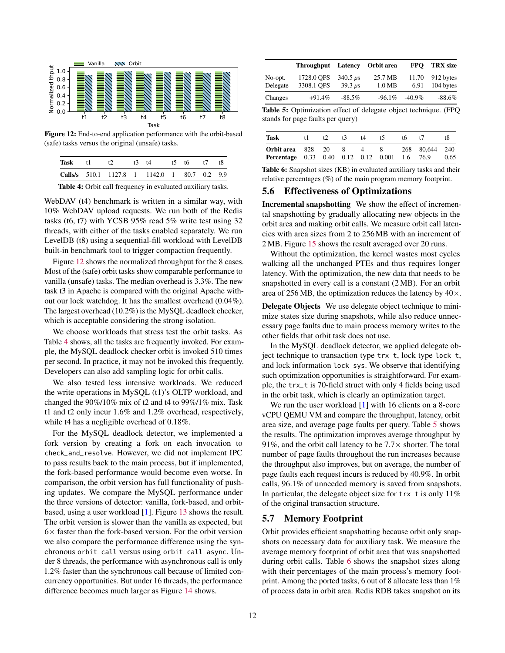<span id="page-11-0"></span>

Figure 12: End-to-end application performance with the orbit-based (safe) tasks versus the original (unsafe) tasks.

<span id="page-11-1"></span>

| Task | $+1$ | t | $t3 \quad t4$                                               | 15 16 | t7 | tХ |
|------|------|---|-------------------------------------------------------------|-------|----|----|
|      |      |   | Calls/s 510.1 1127.8 1 1142.0 1 80.7 0.2 9.9                |       |    |    |
|      |      |   | Table 4: Orbit call frequency in evaluated auxiliary tasks. |       |    |    |

WebDAV (t4) benchmark is written in a similar way, with 10% WebDAV upload requests. We run both of the Redis tasks (t6, t7) with YCSB 95% read 5% write test using 32 threads, with either of the tasks enabled separately. We run LevelDB (t8) using a sequential-fill workload with LevelDB built-in benchmark tool to trigger compaction frequently.

Figure [12](#page-11-0) shows the normalized throughput for the 8 cases. Most of the (safe) orbit tasks show comparable performance to vanilla (unsafe) tasks. The median overhead is 3.3%. The new task t3 in Apache is compared with the original Apache without our lock watchdog. It has the smallest overhead (0.04%). The largest overhead (10.2%) is the MySQL deadlock checker, which is acceptable considering the strong isolation.

We choose workloads that stress test the orbit tasks. As Table [4](#page-11-1) shows, all the tasks are frequently invoked. For example, the MySQL deadlock checker orbit is invoked 510 times per second. In practice, it may not be invoked this frequently. Developers can also add sampling logic for orbit calls.

We also tested less intensive workloads. We reduced the write operations in MySQL (t1)'s OLTP workload, and changed the 90%/10% mix of t2 and t4 to 99%/1% mix. Task t1 and t2 only incur 1.6% and 1.2% overhead, respectively, while t4 has a negligible overhead of 0.18%.

For the MySQL deadlock detector, we implemented a fork version by creating a fork on each invocation to check\_and\_resolve. However, we did not implement IPC to pass results back to the main process, but if implemented, the fork-based performance would become even worse. In comparison, the orbit version has full functionality of pushing updates. We compare the MySQL performance under the three versions of detector: vanilla, fork-based, and orbitbased, using a user workload [\[1\]](#page-14-13). Figure [13](#page-12-0) shows the result. The orbit version is slower than the vanilla as expected, but  $6\times$  faster than the fork-based version. For the orbit version we also compare the performance difference using the synchronous orbit\_call versus using orbit\_call\_async. Under 8 threads, the performance with asynchronous call is only 1.2% faster than the synchronous call because of limited concurrency opportunities. But under 16 threads, the performance difference becomes much larger as Figure [14](#page-12-0) shows.

<span id="page-11-2"></span>

|                     | <b>Throughput</b>        | Latency                                       | Orbit area          | <b>FPO</b>    | <b>TRX</b> size        |
|---------------------|--------------------------|-----------------------------------------------|---------------------|---------------|------------------------|
| No-opt.<br>Delegate | 1728.0 OPS<br>3308.1 OPS | $340.5 \,\mu s$<br>$39.3 \text{ }\mu\text{s}$ | 25.7 MB<br>$1.0$ MB | 11.70<br>6.91 | 912 bytes<br>104 bytes |
| Changes             | $+91.4%$                 | $-88.5\%$                                     | $-96.1\%$           | $-40.9\%$     | $-88.6\%$              |

Table 5: Optimization effect of delegate object technique. (FPQ stands for page faults per query)

<span id="page-11-3"></span>

| Task                                                      |        | t 7 | t⊀ | t4 | t5 | tб      |                        |      |
|-----------------------------------------------------------|--------|-----|----|----|----|---------|------------------------|------|
| Orbit area<br><b>Percentage</b> 0.33 0.40 0.12 0.12 0.001 | 828 20 |     | x  |    | 8. | $1.6 -$ | 268 80.644 240<br>76.9 | 0.65 |

Table 6: Snapshot sizes (KB) in evaluated auxiliary tasks and their relative percentages (%) of the main program memory footprint.

# 5.6 Effectiveness of Optimizations

Incremental snapshotting We show the effect of incremental snapshotting by gradually allocating new objects in the orbit area and making orbit calls. We measure orbit call latencies with area sizes from 2 to 256MB with an increment of 2 MB. Figure [15](#page-12-0) shows the result averaged over 20 runs.

Without the optimization, the kernel wastes most cycles walking all the unchanged PTEs and thus requires longer latency. With the optimization, the new data that needs to be snapshotted in every call is a constant (2 MB). For an orbit area of 256 MB, the optimization reduces the latency by  $40\times$ .

Delegate Objects We use delegate object technique to minimize states size during snapshots, while also reduce unnecessary page faults due to main process memory writes to the other fields that orbit task does not use.

In the MySQL deadlock detector, we applied delegate object technique to transaction type trx\_t, lock type lock\_t, and lock information lock\_sys. We observe that identifying such optimization opportunities is straightforward. For example, the trx\_t is 70-field struct with only 4 fields being used in the orbit task, which is clearly an optimization target.

We run the user workload [\[1\]](#page-14-13) with 16 clients on a 8-core vCPU QEMU VM and compare the throughput, latency, orbit area size, and average page faults per query. Table [5](#page-11-2) shows the results. The optimization improves average throughput by 91%, and the orbit call latency to be  $7.7\times$  shorter. The total number of page faults throughout the run increases because the throughput also improves, but on average, the number of page faults each request incurs is reduced by 40.9%. In orbit calls, 96.1% of unneeded memory is saved from snapshots. In particular, the delegate object size for trx\_t is only 11% of the original transaction structure.

# 5.7 Memory Footprint

Orbit provides efficient snapshotting because orbit only snapshots on necessary data for auxiliary task. We measure the average memory footprint of orbit area that was snapshotted during orbit calls. Table [6](#page-11-3) shows the snapshot sizes along with their percentages of the main process's memory footprint. Among the ported tasks, 6 out of 8 allocate less than 1% of process data in orbit area. Redis RDB takes snapshot on its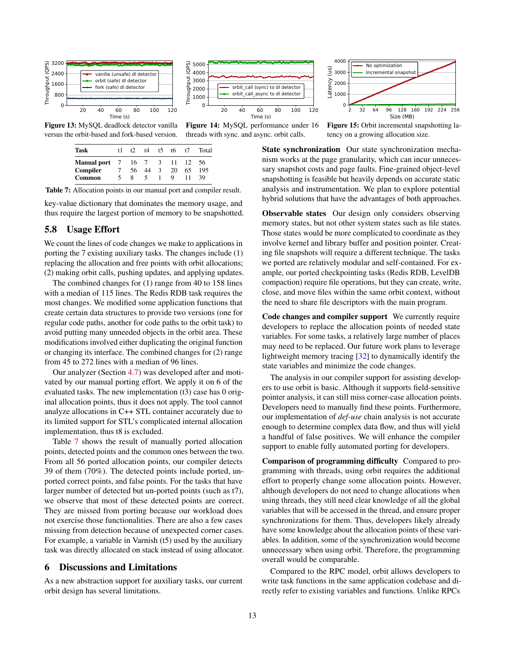<span id="page-12-0"></span>

<span id="page-12-1"></span>Figure 13: MySQL deadlock detector vanilla versus the orbit-based and fork-based version.

| Task                              | t1. | t2. | 14 | $t$ 5         | t6. | t7 | Total |
|-----------------------------------|-----|-----|----|---------------|-----|----|-------|
| <b>Manual port</b> 7 16 7 3 11 12 |     |     |    |               |     |    | 56    |
| Compiler                          |     | 56. | 44 | $\mathcal{R}$ | 20  | 65 | 195   |
| Common                            |     |     | 5. |               | Q   |    | 39    |

Table 7: Allocation points in our manual port and compiler result.

key-value dictionary that dominates the memory usage, and thus require the largest portion of memory to be snapshotted.

### 5.8 Usage Effort

We count the lines of code changes we make to applications in porting the 7 existing auxiliary tasks. The changes include (1) replacing the allocation and free points with orbit allocations; (2) making orbit calls, pushing updates, and applying updates.

The combined changes for (1) range from 40 to 158 lines with a median of 115 lines. The Redis RDB task requires the most changes. We modified some application functions that create certain data structures to provide two versions (one for regular code paths, another for code paths to the orbit task) to avoid putting many unneeded objects in the orbit area. These modifications involved either duplicating the original function or changing its interface. The combined changes for (2) range from 45 to 272 lines with a median of 96 lines.

Our analyzer (Section [4.7\)](#page-8-2) was developed after and motivated by our manual porting effort. We apply it on 6 of the evaluated tasks. The new implementation (t3) case has 0 original allocation points, thus it does not apply. The tool cannot analyze allocations in C++ STL container accurately due to its limited support for STL's complicated internal allocation implementation, thus t8 is excluded.

Table [7](#page-12-1) shows the result of manually ported allocation points, detected points and the common ones between the two. From all 56 ported allocation points, our compiler detects 39 of them (70%). The detected points include ported, unported correct points, and false points. For the tasks that have larger number of detected but un-ported points (such as t7), we observe that most of these detected points are correct. They are missed from porting because our workload does not exercise those functionalities. There are also a few cases missing from detection because of unexpected corner cases. For example, a variable in Varnish (t5) used by the auxiliary task was directly allocated on stack instead of using allocator.

### 6 Discussions and Limitations

As a new abstraction support for auxiliary tasks, our current orbit design has several limitations.



Figure 14: MySQL performance under 16 threads with sync. and async. orbit calls.

Throughput (QPS)

hput Through

2 32 64 96 128 160 192 224 256 Size (MB) No optimization Incremental snapshot

Figure 15: Orbit incremental snapshotting latency on a growing allocation size.

State synchronization Our state synchronization mechanism works at the page granularity, which can incur unnecessary snapshot costs and page faults. Fine-grained object-level snapshotting is feasible but heavily depends on accurate static analysis and instrumentation. We plan to explore potential hybrid solutions that have the advantages of both approaches.

Observable states Our design only considers observing memory states, but not other system states such as file states. Those states would be more complicated to coordinate as they involve kernel and library buffer and position pointer. Creating file snapshots will require a different technique. The tasks we ported are relatively modular and self-contained. For example, our ported checkpointing tasks (Redis RDB, LevelDB compaction) require file operations, but they can create, write, close, and move files within the same orbit context, without the need to share file descriptors with the main program.

Code changes and compiler support We currently require developers to replace the allocation points of needed state variables. For some tasks, a relatively large number of places may need to be replaced. Our future work plans to leverage lightweight memory tracing [\[32\]](#page-15-12) to dynamically identify the state variables and minimize the code changes.

The analysis in our compiler support for assisting developers to use orbit is basic. Although it supports field-sensitive pointer analysis, it can still miss corner-case allocation points. Developers need to manually find these points. Furthermore, our implementation of *def-use* chain analysis is not accurate enough to determine complex data flow, and thus will yield a handful of false positives. We will enhance the compiler support to enable fully automated porting for developers.

Comparison of programming difficulty Compared to programming with threads, using orbit requires the additional effort to properly change some allocation points. However, although developers do not need to change allocations when using threads, they still need clear knowledge of all the global variables that will be accessed in the thread, and ensure proper synchronizations for them. Thus, developers likely already have some knowledge about the allocation points of these variables. In addition, some of the synchronization would become unnecessary when using orbit. Therefore, the programming overall would be comparable.

Compared to the RPC model, orbit allows developers to write task functions in the same application codebase and directly refer to existing variables and functions. Unlike RPCs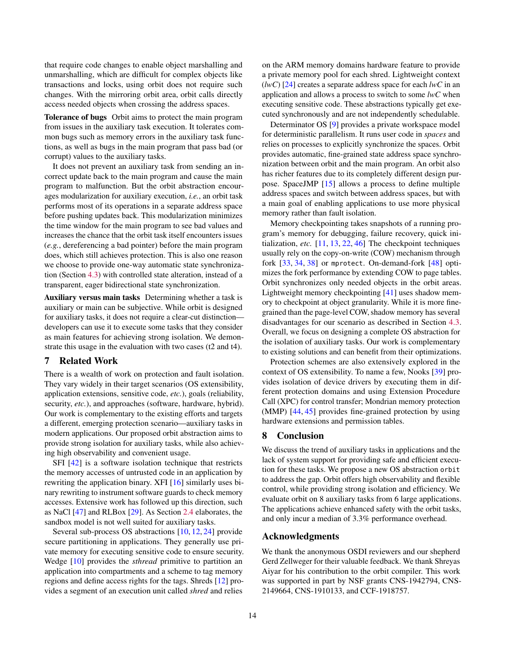that require code changes to enable object marshalling and unmarshalling, which are difficult for complex objects like transactions and locks, using orbit does not require such changes. With the mirroring orbit area, orbit calls directly access needed objects when crossing the address spaces.

Tolerance of bugs Orbit aims to protect the main program from issues in the auxiliary task execution. It tolerates common bugs such as memory errors in the auxiliary task functions, as well as bugs in the main program that pass bad (or corrupt) values to the auxiliary tasks.

It does not prevent an auxiliary task from sending an incorrect update back to the main program and cause the main program to malfunction. But the orbit abstraction encourages modularization for auxiliary execution, *i.e.*, an orbit task performs most of its operations in a separate address space before pushing updates back. This modularization minimizes the time window for the main program to see bad values and increases the chance that the orbit task itself encounters issues (*e.g.*, dereferencing a bad pointer) before the main program does, which still achieves protection. This is also one reason we choose to provide one-way automatic state synchronization (Section [4.3\)](#page-5-1) with controlled state alteration, instead of a transparent, eager bidirectional state synchronization.

Auxiliary versus main tasks Determining whether a task is auxiliary or main can be subjective. While orbit is designed for auxiliary tasks, it does not require a clear-cut distinction developers can use it to execute some tasks that they consider as main features for achieving strong isolation. We demonstrate this usage in the evaluation with two cases (t2 and t4).

### 7 Related Work

There is a wealth of work on protection and fault isolation. They vary widely in their target scenarios (OS extensibility, application extensions, sensitive code, *etc.*), goals (reliability, security, *etc.*), and approaches (software, hardware, hybrid). Our work is complementary to the existing efforts and targets a different, emerging protection scenario—auxiliary tasks in modern applications. Our proposed orbit abstraction aims to provide strong isolation for auxiliary tasks, while also achieving high observability and convenient usage.

SFI [\[42\]](#page-15-9) is a software isolation technique that restricts the memory accesses of untrusted code in an application by rewriting the application binary. XFI [\[16\]](#page-14-7) similarly uses binary rewriting to instrument software guards to check memory accesses. Extensive work has followed up this direction, such as NaCl [\[47\]](#page-15-10) and RLBox [\[29\]](#page-15-7). As Section [2.4](#page-2-1) elaborates, the sandbox model is not well suited for auxiliary tasks.

Several sub-process OS abstractions [\[10,](#page-14-5) [12,](#page-14-6) [24\]](#page-14-8) provide secure partitioning in applications. They generally use private memory for executing sensitive code to ensure security. Wedge [\[10\]](#page-14-5) provides the *sthread* primitive to partition an application into compartments and a scheme to tag memory regions and define access rights for the tags. Shreds [\[12\]](#page-14-6) provides a segment of an execution unit called *shred* and relies

on the ARM memory domains hardware feature to provide a private memory pool for each shred. Lightweight context (*lwC*) [\[24\]](#page-14-8) creates a separate address space for each *lwC* in an application and allows a process to switch to some *lwC* when executing sensitive code. These abstractions typically get executed synchronously and are not independently schedulable.

Determinator OS [\[9\]](#page-14-21) provides a private workspace model for deterministic parallelism. It runs user code in *spaces* and relies on processes to explicitly synchronize the spaces. Orbit provides automatic, fine-grained state address space synchronization between orbit and the main program. An orbit also has richer features due to its completely different design purpose. SpaceJMP [\[15\]](#page-14-22) allows a process to define multiple address spaces and switch between address spaces, but with a main goal of enabling applications to use more physical memory rather than fault isolation.

Memory checkpointing takes snapshots of a running program's memory for debugging, failure recovery, quick initialization, *etc.* [\[11,](#page-14-23) [13,](#page-14-24) [22,](#page-14-25) [46\]](#page-15-13) The checkpoint techniques usually rely on the copy-on-write (COW) mechanism through fork [\[33,](#page-15-14) [34,](#page-15-15) [38\]](#page-15-16) or mprotect. On-demand-fork [\[48\]](#page-15-17) optimizes the fork performance by extending COW to page tables. Orbit synchronizes only needed objects in the orbit areas. Lightweight memory checkpointing [\[41\]](#page-15-18) uses shadow memory to checkpoint at object granularity. While it is more finegrained than the page-level COW, shadow memory has several disadvantages for our scenario as described in Section [4.3.](#page-5-1) Overall, we focus on designing a complete OS abstraction for the isolation of auxiliary tasks. Our work is complementary to existing solutions and can benefit from their optimizations.

Protection schemes are also extensively explored in the context of OS extensibility. To name a few, Nooks [\[39\]](#page-15-19) provides isolation of device drivers by executing them in different protection domains and using Extension Procedure Call (XPC) for control transfer; Mondrian memory protection (MMP) [\[44,](#page-15-20) [45\]](#page-15-21) provides fine-grained protection by using hardware extensions and permission tables.

### 8 Conclusion

We discuss the trend of auxiliary tasks in applications and the lack of system support for providing safe and efficient execution for these tasks. We propose a new OS abstraction orbit to address the gap. Orbit offers high observability and flexible control, while providing strong isolation and efficiency. We evaluate orbit on 8 auxiliary tasks from 6 large applications. The applications achieve enhanced safety with the orbit tasks, and only incur a median of 3.3% performance overhead.

### Acknowledgments

We thank the anonymous OSDI reviewers and our shepherd Gerd Zellweger for their valuable feedback. We thank Shreyas Aiyar for his contribution to the orbit compiler. This work was supported in part by NSF grants CNS-1942794, CNS-2149664, CNS-1910133, and CCF-1918757.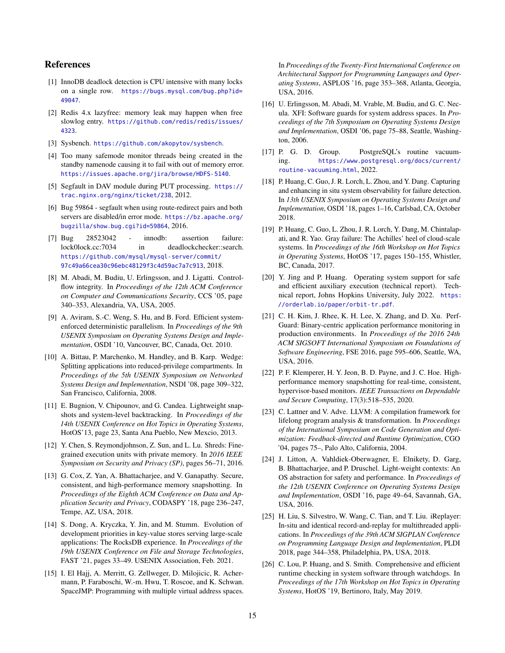# References

- <span id="page-14-13"></span>[1] InnoDB deadlock detection is CPU intensive with many locks on a single row. [https://bugs.mysql.com/bug.php?id=](https://bugs.mysql.com/bug.php?id=49047) [49047](https://bugs.mysql.com/bug.php?id=49047).
- <span id="page-14-19"></span>[2] Redis 4.x lazyfree: memory leak may happen when free slowlog entry. [https://github.com/redis/redis/issues/](https://github.com/redis/redis/issues/4323) [4323](https://github.com/redis/redis/issues/4323).
- <span id="page-14-20"></span>[3] Sysbench. <https://github.com/akopytov/sysbench>.
- <span id="page-14-12"></span>[4] Too many safemode monitor threads being created in the standby namenode causing it to fail with out of memory error. <https://issues.apache.org/jira/browse/HDFS-5140>.
- <span id="page-14-18"></span>[5] Segfault in DAV module during PUT processing. [https://](https://trac.nginx.org/nginx/ticket/238) [trac.nginx.org/nginx/ticket/238](https://trac.nginx.org/nginx/ticket/238), 2012.
- <span id="page-14-17"></span>[6] Bug 59864 - segfault when using route-redirect pairs and both servers are disabled/in error mode. [https://bz.apache.org/](https://bz.apache.org/bugzilla/show_bug.cgi?id=59864) [bugzilla/show\\_bug.cgi?id=59864](https://bz.apache.org/bugzilla/show_bug.cgi?id=59864), 2016.
- <span id="page-14-16"></span>[7] Bug 28523042 - innodb: assertion failure: lock0lock.cc:7034 in deadlockchecker::search. [https://github.com/mysql/mysql-server/commit/](https://github.com/mysql/mysql-server/commit/97c49a66cea30c96ebc48129f3c4d59ac7a7c913) [97c49a66cea30c96ebc48129f3c4d59ac7a7c913](https://github.com/mysql/mysql-server/commit/97c49a66cea30c96ebc48129f3c4d59ac7a7c913), 2018.
- <span id="page-14-11"></span>[8] M. Abadi, M. Budiu, U. Erlingsson, and J. Ligatti. Controlflow integrity. In *Proceedings of the 12th ACM Conference on Computer and Communications Security*, CCS '05, page 340–353, Alexandria, VA, USA, 2005.
- <span id="page-14-21"></span>[9] A. Aviram, S.-C. Weng, S. Hu, and B. Ford. Efficient systemenforced deterministic parallelism. In *Proceedings of the 9th USENIX Symposium on Operating Systems Design and Implementation*, OSDI '10, Vancouver, BC, Canada, Oct. 2010.
- <span id="page-14-5"></span>[10] A. Bittau, P. Marchenko, M. Handley, and B. Karp. Wedge: Splitting applications into reduced-privilege compartments. In *Proceedings of the 5th USENIX Symposium on Networked Systems Design and Implementation*, NSDI '08, page 309–322, San Francisco, California, 2008.
- <span id="page-14-23"></span>[11] E. Bugnion, V. Chipounov, and G. Candea. Lightweight snapshots and system-level backtracking. In *Proceedings of the 14th USENIX Conference on Hot Topics in Operating Systems*, HotOS'13, page 23, Santa Ana Pueblo, New Mexcio, 2013.
- <span id="page-14-6"></span>[12] Y. Chen, S. Reymondjohnson, Z. Sun, and L. Lu. Shreds: Finegrained execution units with private memory. In *2016 IEEE Symposium on Security and Privacy (SP)*, pages 56–71, 2016.
- <span id="page-14-24"></span>[13] G. Cox, Z. Yan, A. Bhattacharjee, and V. Ganapathy. Secure, consistent, and high-performance memory snapshotting. In *Proceedings of the Eighth ACM Conference on Data and Application Security and Privacy*, CODASPY '18, page 236–247, Tempe, AZ, USA, 2018.
- <span id="page-14-3"></span>[14] S. Dong, A. Kryczka, Y. Jin, and M. Stumm. Evolution of development priorities in key-value stores serving large-scale applications: The RocksDB experience. In *Proceedings of the 19th USENIX Conference on File and Storage Technologies*, FAST '21, pages 33–49. USENIX Association, Feb. 2021.
- <span id="page-14-22"></span>[15] I. El Hajj, A. Merritt, G. Zellweger, D. Milojicic, R. Achermann, P. Faraboschi, W.-m. Hwu, T. Roscoe, and K. Schwan. SpaceJMP: Programming with multiple virtual address spaces.

In *Proceedings of the Twenty-First International Conference on Architectural Support for Programming Languages and Operating Systems*, ASPLOS '16, page 353–368, Atlanta, Georgia, USA, 2016.

- <span id="page-14-7"></span>[16] U. Erlingsson, M. Abadi, M. Vrable, M. Budiu, and G. C. Necula. XFI: Software guards for system address spaces. In *Proceedings of the 7th Symposium on Operating Systems Design and Implementation*, OSDI '06, page 75–88, Seattle, Washington, 2006.
- <span id="page-14-4"></span>[17] P. G. D. Group. PostgreSQL's routine vacuuming. [https://www.postgresql.org/docs/current/](https://www.postgresql.org/docs/current/routine-vacuuming.html) [routine-vacuuming.html](https://www.postgresql.org/docs/current/routine-vacuuming.html), 2022.
- <span id="page-14-0"></span>[18] P. Huang, C. Guo, J. R. Lorch, L. Zhou, and Y. Dang. Capturing and enhancing in situ system observability for failure detection. In *13th USENIX Symposium on Operating Systems Design and Implementation*, OSDI '18, pages 1–16, Carlsbad, CA, October 2018.
- <span id="page-14-10"></span>[19] P. Huang, C. Guo, L. Zhou, J. R. Lorch, Y. Dang, M. Chintalapati, and R. Yao. Gray failure: The Achilles' heel of cloud-scale systems. In *Proceedings of the 16th Workshop on Hot Topics in Operating Systems*, HotOS '17, pages 150–155, Whistler, BC, Canada, 2017.
- <span id="page-14-15"></span>[20] Y. Jing and P. Huang. Operating system support for safe and efficient auxiliary execution (technical report). Technical report, Johns Hopkins University, July 2022. [https:](https://orderlab.io/paper/orbit-tr.pdf) [//orderlab.io/paper/orbit-tr.pdf](https://orderlab.io/paper/orbit-tr.pdf).
- <span id="page-14-1"></span>[21] C. H. Kim, J. Rhee, K. H. Lee, X. Zhang, and D. Xu. Perf-Guard: Binary-centric application performance monitoring in production environments. In *Proceedings of the 2016 24th ACM SIGSOFT International Symposium on Foundations of Software Engineering*, FSE 2016, page 595–606, Seattle, WA, USA, 2016.
- <span id="page-14-25"></span>[22] P. F. Klemperer, H. Y. Jeon, B. D. Payne, and J. C. Hoe. Highperformance memory snapshotting for real-time, consistent, hypervisor-based monitors. *IEEE Transactions on Dependable and Secure Computing*, 17(3):518–535, 2020.
- <span id="page-14-14"></span>[23] C. Lattner and V. Adve. LLVM: A compilation framework for lifelong program analysis & transformation. In *Proceedings of the International Symposium on Code Generation and Optimization: Feedback-directed and Runtime Optimization*, CGO '04, pages 75–, Palo Alto, California, 2004.
- <span id="page-14-8"></span>[24] J. Litton, A. Vahldiek-Oberwagner, E. Elnikety, D. Garg, B. Bhattacharjee, and P. Druschel. Light-weight contexts: An OS abstraction for safety and performance. In *Proceedings of the 12th USENIX Conference on Operating Systems Design and Implementation*, OSDI '16, page 49–64, Savannah, GA, USA, 2016.
- <span id="page-14-2"></span>[25] H. Liu, S. Silvestro, W. Wang, C. Tian, and T. Liu. iReplayer: In-situ and identical record-and-replay for multithreaded applications. In *Proceedings of the 39th ACM SIGPLAN Conference on Programming Language Design and Implementation*, PLDI 2018, page 344–358, Philadelphia, PA, USA, 2018.
- <span id="page-14-9"></span>[26] C. Lou, P. Huang, and S. Smith. Comprehensive and efficient runtime checking in system software through watchdogs. In *Proceedings of the 17th Workshop on Hot Topics in Operating Systems*, HotOS '19, Bertinoro, Italy, May 2019.